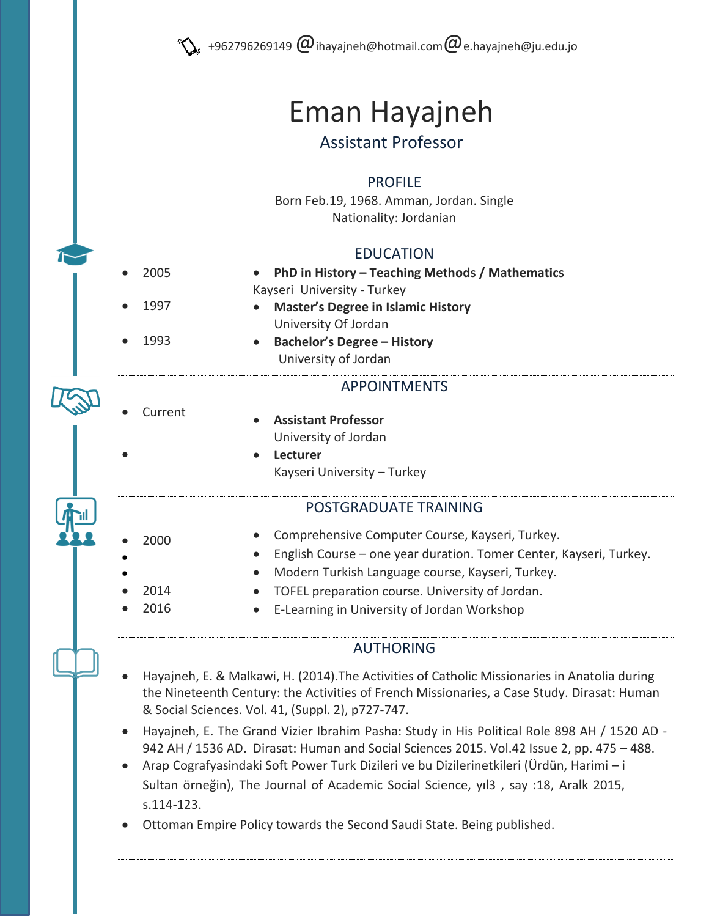# Eman Hayajneh

# Assistant Professor

#### PROFILE

Born Feb.19, 1968. Amman, Jordan. Single Nationality: Jordanian

#### EDUCATION

- 2005 1997 1993 **PhD in History – Teaching Methods / Mathematics**  Kayseri University - Turkey **Master's Degree in Islamic History** University Of Jordan
	- **Bachelor's Degree – History** University of Jordan

# APPOINTMENTS

Current

 $\bullet$ 

 $\bullet$  $\bullet$ 

- **Assistant Professor** University of Jordan
- **Lecturer**  Kayseri University – Turkey

## POSTGRADUATE TRAINING

Comprehensive Computer Course, Kayseri, Turkey.

2000

 2014 2016

- English Course one year duration. Tomer Center, Kayseri, Turkey.
- Modern Turkish Language course, Kayseri, Turkey.
	- TOFEL preparation course. University of Jordan.
	- E-Learning in University of Jordan Workshop

# AUTHORING

- Hayajneh, E. & Malkawi, H. (2014).The Activities of Catholic Missionaries in Anatolia during the Nineteenth Century: the Activities of French Missionaries, a Case Study. Dirasat: Human & Social Sciences. Vol. 41, (Suppl. 2), p727-747.
- Hayajneh, E. [The Grand Vizier Ibrahim Pasha: Study in His Political Role 898 AH / 1520 AD -](http://platform.almanhal.com/Article/Preview.aspx?ID=60018) [942 AH / 1536 AD.](http://platform.almanhal.com/Article/Preview.aspx?ID=60018) [Dirasat: Human and Social Sciences](javascript:__doPostBack() 2015. Vol.42 Issue 2, pp. 475 – 488.
- Arap Cografyasindaki Soft Power Turk Dizileri ve bu Dizilerinetkileri (Ürdün, Harimi i Sultan örneğin), The Journal of Academic Social Science, yıl3 , say :18, Aralk 2015, s.114-123.

Ottoman Empire Policy towards the Second Saudi State. Being published.